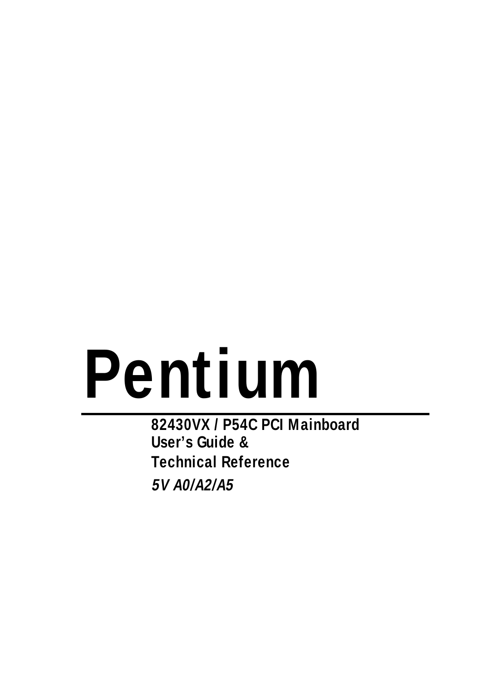# **Pentium**

**82430VX / P54C PCI Mainboard User's Guide & Technical Reference 5V A0/A2/A5**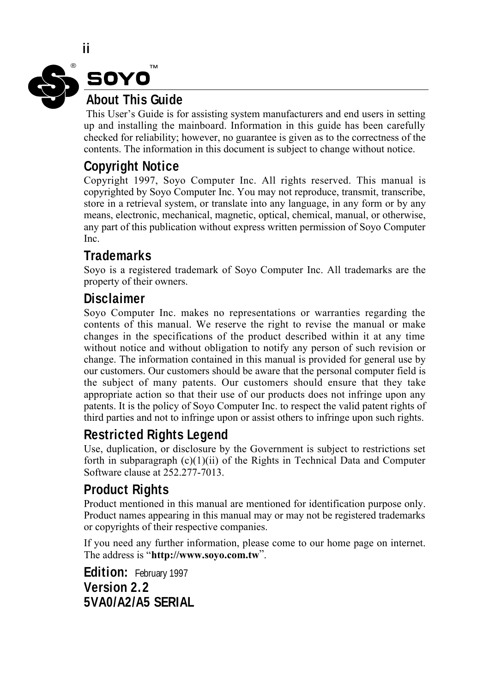

This User's Guide is for assisting system manufacturers and end users in setting up and installing the mainboard. Information in this guide has been carefully checked for reliability; however, no guarantee is given as to the correctness of the contents. The information in this document is subject to change without notice.

#### **Copyright Notice**

Copyright 1997, Soyo Computer Inc. All rights reserved. This manual is copyrighted by Soyo Computer Inc. You may not reproduce, transmit, transcribe, store in a retrieval system, or translate into any language, in any form or by any means, electronic, mechanical, magnetic, optical, chemical, manual, or otherwise, any part of this publication without express written permission of Soyo Computer Inc.

#### **Trademarks**

Soyo is a registered trademark of Soyo Computer Inc. All trademarks are the property of their owners.

#### **Disclaimer**

Soyo Computer Inc. makes no representations or warranties regarding the contents of this manual. We reserve the right to revise the manual or make changes in the specifications of the product described within it at any time without notice and without obligation to notify any person of such revision or change. The information contained in this manual is provided for general use by our customers. Our customers should be aware that the personal computer field is the subject of many patents. Our customers should ensure that they take appropriate action so that their use of our products does not infringe upon any patents. It is the policy of Soyo Computer Inc. to respect the valid patent rights of third parties and not to infringe upon or assist others to infringe upon such rights.

#### **Restricted Rights Legend**

Use, duplication, or disclosure by the Government is subject to restrictions set forth in subparagraph  $(c)(1)(ii)$  of the Rights in Technical Data and Computer Software clause at 252.277-7013.

#### **Product Rights**

Product mentioned in this manual are mentioned for identification purpose only. Product names appearing in this manual may or may not be registered trademarks or copyrights of their respective companies.

If you need any further information, please come to our home page on internet. The address is "**http://www.soyo.com.tw**".

**Edition:** February 1997 **Version 2.2 5VA0/A2/A5 SERIAL**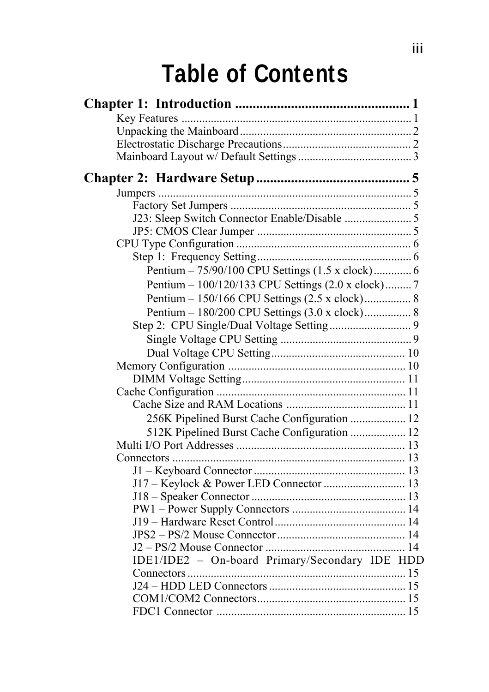# **Table of Contents**

| Pentium - 75/90/100 CPU Settings (1.5 x clock) 6  |  |
|---------------------------------------------------|--|
| Pentium - 100/120/133 CPU Settings (2.0 x clock)7 |  |
| Pentium - 150/166 CPU Settings (2.5 x clock) 8    |  |
| Pentium - 180/200 CPU Settings (3.0 x clock) 8    |  |
|                                                   |  |
|                                                   |  |
|                                                   |  |
|                                                   |  |
|                                                   |  |
|                                                   |  |
|                                                   |  |
| 256K Pipelined Burst Cache Configuration  12      |  |
| 512K Pipelined Burst Cache Configuration  12      |  |
|                                                   |  |
|                                                   |  |
|                                                   |  |
| J17 - Keylock & Power LED Connector  13           |  |
|                                                   |  |
|                                                   |  |
|                                                   |  |
|                                                   |  |
|                                                   |  |
| IDE1/IDE2 - On-board Primary/Secondary IDE HDD    |  |
|                                                   |  |
|                                                   |  |
|                                                   |  |
|                                                   |  |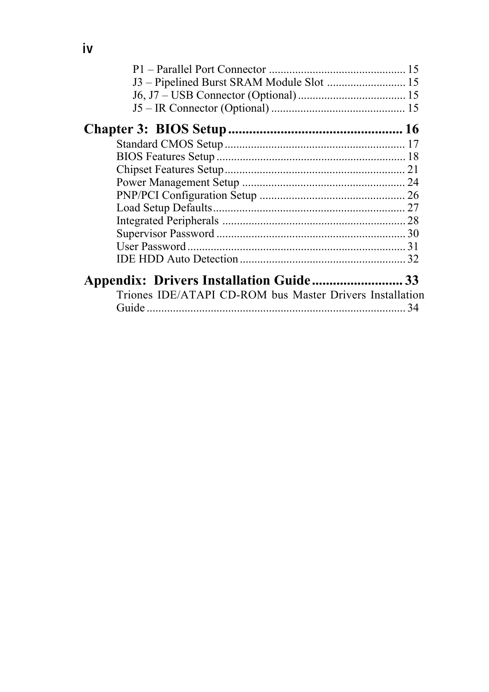| J3 - Pipelined Burst SRAM Module Slot  15                |  |
|----------------------------------------------------------|--|
|                                                          |  |
|                                                          |  |
|                                                          |  |
|                                                          |  |
|                                                          |  |
|                                                          |  |
|                                                          |  |
|                                                          |  |
|                                                          |  |
|                                                          |  |
|                                                          |  |
|                                                          |  |
|                                                          |  |
|                                                          |  |
| Triones IDE/ATAPI CD-ROM bus Master Drivers Installation |  |
|                                                          |  |
|                                                          |  |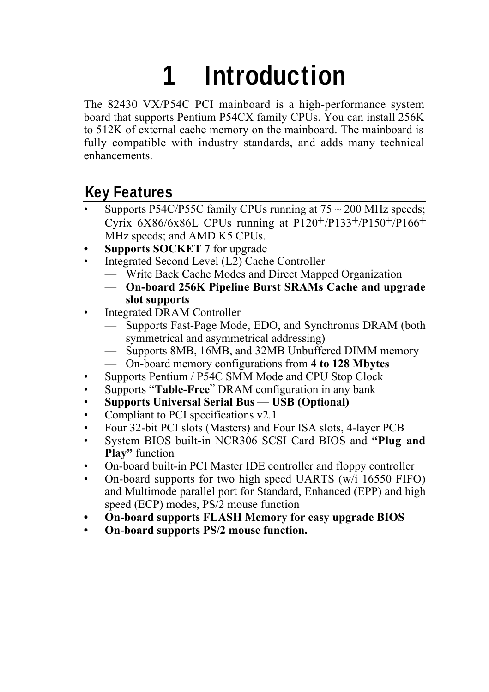# **1 Introduction**

The 82430 VX/P54C PCI mainboard is a high-performance system board that supports Pentium P54CX family CPUs. You can install 256K to 512K of external cache memory on the mainboard. The mainboard is fully compatible with industry standards, and adds many technical enhancements.

# **Key Features**

- Supports P54C/P55C family CPUs running at  $75 \sim 200$  MHz speeds; Cyrix  $6X86/6X86L$  CPUs running at P120+/P133+/P150+/P166+ MHz speeds; and AMD K5 CPUs.
- **Supports SOCKET 7** for upgrade
- Integrated Second Level (L2) Cache Controller
	- Write Back Cache Modes and Direct Mapped Organization
	- **On-board 256K Pipeline Burst SRAMs Cache and upgrade slot supports**
- Integrated DRAM Controller
	- Supports Fast-Page Mode, EDO, and Synchronus DRAM (both symmetrical and asymmetrical addressing)
	- Supports 8MB, 16MB, and 32MB Unbuffered DIMM memory
	- On-board memory configurations from **4 to 128 Mbytes**
- Supports Pentium / P54C SMM Mode and CPU Stop Clock
- Supports "**Table-Free**" DRAM configuration in any bank
- **Supports Universal Serial Bus USB (Optional)**
- Compliant to PCI specifications v2.1
- Four 32-bit PCI slots (Masters) and Four ISA slots, 4-layer PCB
- System BIOS built-in NCR306 SCSI Card BIOS and **"Plug and Play"** function
- On-board built-in PCI Master IDE controller and floppy controller
- On-board supports for two high speed UARTS (w/i 16550 FIFO) and Multimode parallel port for Standard, Enhanced (EPP) and high speed (ECP) modes, PS/2 mouse function
- **On-board supports FLASH Memory for easy upgrade BIOS**
- **On-board supports PS/2 mouse function.**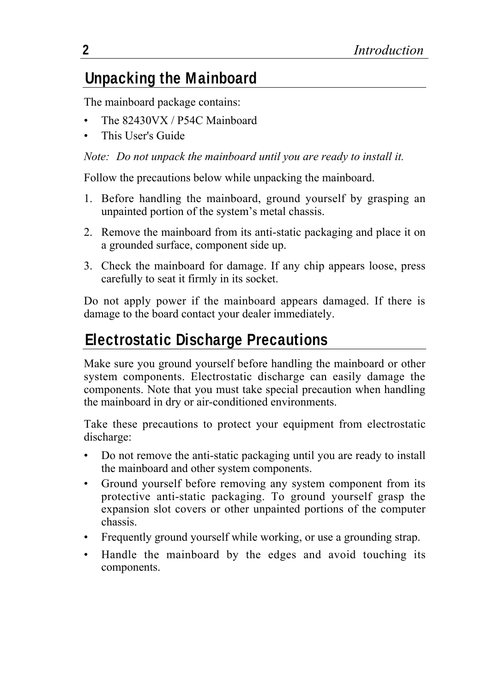# **Unpacking the Mainboard**

The mainboard package contains:

- The 82430VX / P54C Mainboard
- This User's Guide

#### *Note: Do not unpack the mainboard until you are ready to install it.*

Follow the precautions below while unpacking the mainboard.

- 1. Before handling the mainboard, ground yourself by grasping an unpainted portion of the system's metal chassis.
- 2. Remove the mainboard from its anti-static packaging and place it on a grounded surface, component side up.
- 3. Check the mainboard for damage. If any chip appears loose, press carefully to seat it firmly in its socket.

Do not apply power if the mainboard appears damaged. If there is damage to the board contact your dealer immediately.

# **Electrostatic Discharge Precautions**

Make sure you ground yourself before handling the mainboard or other system components. Electrostatic discharge can easily damage the components. Note that you must take special precaution when handling the mainboard in dry or air-conditioned environments.

Take these precautions to protect your equipment from electrostatic discharge:

- Do not remove the anti-static packaging until you are ready to install the mainboard and other system components.
- Ground yourself before removing any system component from its protective anti-static packaging. To ground yourself grasp the expansion slot covers or other unpainted portions of the computer chassis.
- Frequently ground yourself while working, or use a grounding strap.
- Handle the mainboard by the edges and avoid touching its components.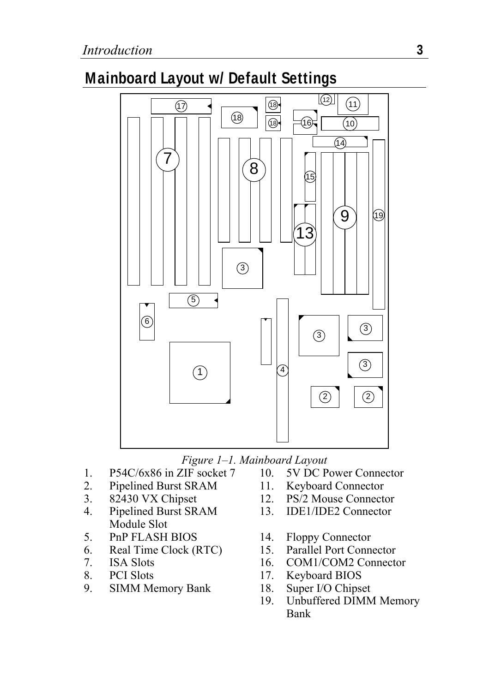# **Mainboard Layout w/ Default Settings**



- 1. P54C/6x86 in ZIF socket 7 10. 5V DC Power Connector<br>2. Pipelined Burst SRAM 11. Keyboard Connector
- 2. Pipelined Burst SRAM 11.<br>3. 82430 VX Chipset 12.
- 
- 4. Pipelined Burst SRAM Module Slot<br>PnP FLASH BIOS
- 5. PnP FLASH BIOS 14. Floppy Connector
- 6. Real Time Clock (RTC) 15. Parallel Port Connector<br>7. ISA Slots 16. COM1/COM2 Connector
- 
- 
- 8. PCI Slots 17. Keyboard BIOS<br>
9. SIMM Memory Bank 18. Super I/O Chipset 9. SIMM Memory Bank 18.
- *Figure 1–1. Mainboard Layout*
	-
- 3. 82430 VX Chipset 12. PS/2 Mouse Connector<br>4. Pinelined Burst SRAM 13. IDE1/IDE2 Connector
	- 13. IDE1/IDE2 Connector
	-
	-
	- COM1/COM2 Connector
	-
	-
	- 19. Unbuffered DIMM Memory Bank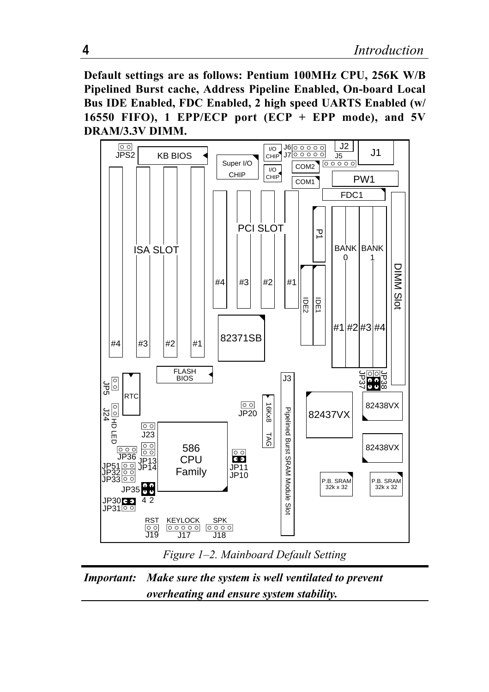**Default settings are as follows: Pentium 100MHz CPU, 256K W/B Pipelined Burst cache, Address Pipeline Enabled, On-board Local Bus IDE Enabled, FDC Enabled, 2 high speed UARTS Enabled (w/ 16550 FIFO), 1 EPP/ECP port (ECP + EPP mode), and 5V DRAM/3.3V DIMM.**





*Important: Make sure the system is well ventilated to prevent overheating and ensure system stability.*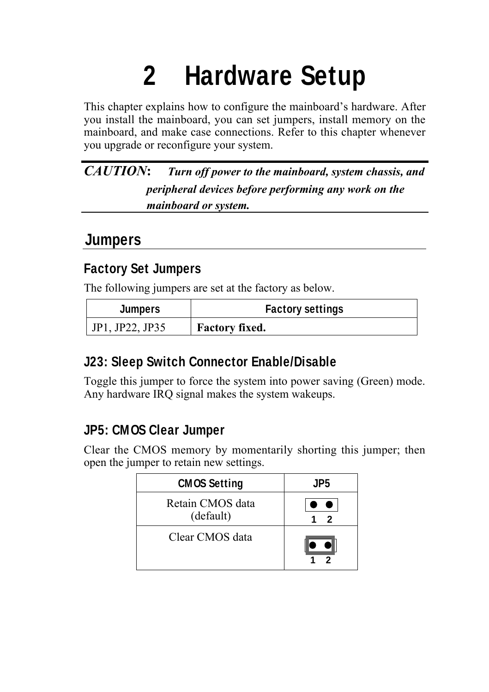# **2 Hardware Setup**

This chapter explains how to configure the mainboard's hardware. After you install the mainboard, you can set jumpers, install memory on the mainboard, and make case connections. Refer to this chapter whenever you upgrade or reconfigure your system.

*CAUTION***:** *Turn off power to the mainboard, system chassis, and peripheral devices before performing any work on the mainboard or system.*

#### **Jumpers**

#### **Factory Set Jumpers**

The following jumpers are set at the factory as below.

| <b>Jumpers</b>  | <b>Factory settings</b> |
|-----------------|-------------------------|
| JP1, JP22, JP35 | <b>Factory fixed.</b>   |

#### **J23: Sleep Switch Connector Enable/Disable**

Toggle this jumper to force the system into power saving (Green) mode. Any hardware IRQ signal makes the system wakeups.

#### **JP5: CMOS Clear Jumper**

Clear the CMOS memory by momentarily shorting this jumper; then open the jumper to retain new settings.

| <b>CMOS Setting</b>           | JP5 |
|-------------------------------|-----|
| Retain CMOS data<br>(default) | 2   |
| Clear CMOS data               |     |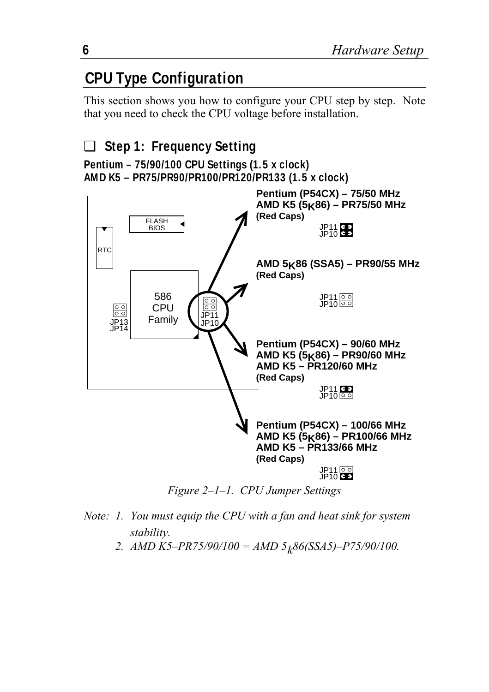# **CPU Type Configuration**

This section shows you how to configure your CPU step by step. Note that you need to check the CPU voltage before installation.

#### ❑ **Step 1: Frequency Setting Pentium – 75/90/100 CPU Settings (1.5 x clock) AMD K5 – PR75/PR90/PR100/PR120/PR133 (1.5 x clock)**



*Figure 2–1–1. CPU Jumper Settings*

- *Note: 1. You must equip the CPU with a fan and heat sink for system stability.*
	- 2.  $AMD K5-PR75/90/100 = AMD 5<sub>k</sub>86(SSA5)-P75/90/100.$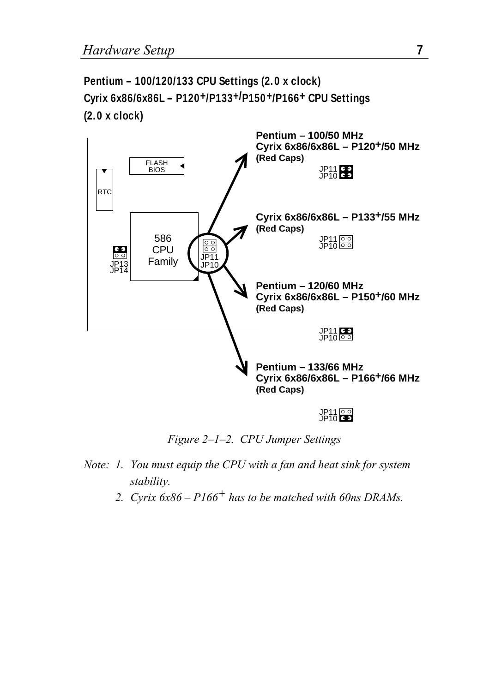**Pentium – 100/120/133 CPU Settings (2.0 x clock) Cyrix 6x86/6x86L – P120+/P133+/P150+/P166+ CPU Settings (2.0 x clock)**



*Figure 2–1–2. CPU Jumper Settings*

- *Note: 1. You must equip the CPU with a fan and heat sink for system stability.*
	- *2. Cyrix 6x86 P166+ has to be matched with 60ns DRAMs.*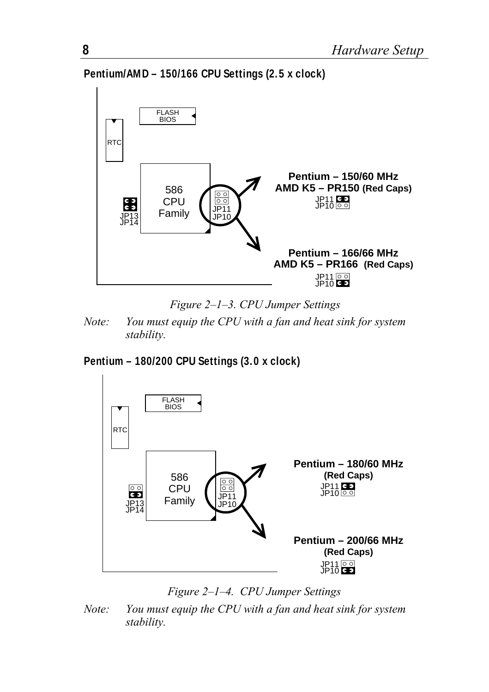**Pentium/AMD – 150/166 CPU Settings (2.5 x clock)**



*Figure 2–1–3. CPU Jumper Settings*

*Note: You must equip the CPU with a fan and heat sink for system stability.*

#### **Pentium – 180/200 CPU Settings (3.0 x clock)**



*Figure 2–1–4. CPU Jumper Settings*

*Note: You must equip the CPU with a fan and heat sink for system stability.*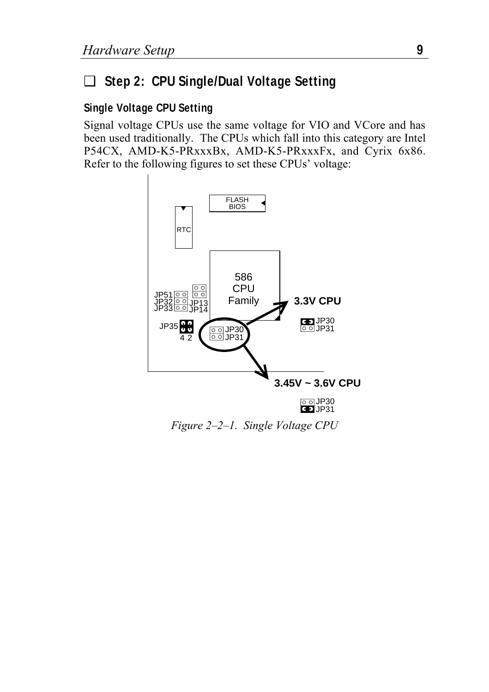#### ❑ **Step 2: CPU Single/Dual Voltage Setting**

#### **Single Voltage CPU Setting**

Signal voltage CPUs use the same voltage for VIO and VCore and has been used traditionally. The CPUs which fall into this category are Intel P54CX, AMD-K5-PRxxxBx, AMD-K5-PRxxxFx, and Cyrix 6x86. Refer to the following figures to set these CPUs' voltage:



*Figure 2–2–1. Single Voltage CPU*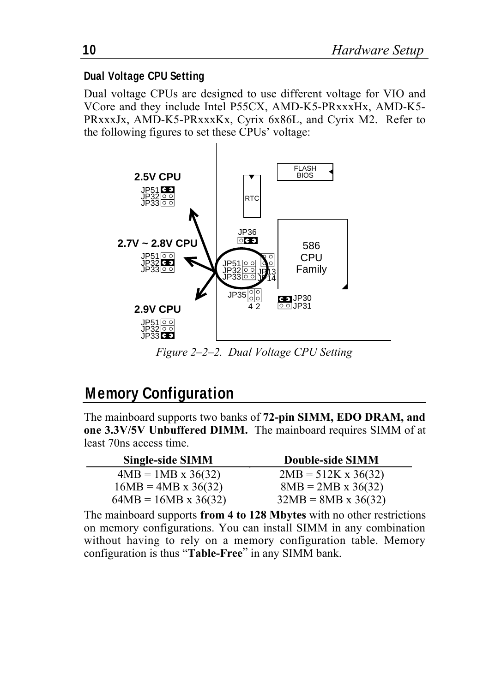#### **Dual Voltage CPU Setting**

Dual voltage CPUs are designed to use different voltage for VIO and VCore and they include Intel P55CX, AMD-K5-PRxxxHx, AMD-K5- PRxxxJx, AMD-K5-PRxxxKx, Cyrix 6x86L, and Cyrix M2. Refer to the following figures to set these CPUs' voltage:



*Figure 2–2–2. Dual Voltage CPU Setting*

## **Memory Configuration**

The mainboard supports two banks of **72-pin SIMM, EDO DRAM, and one 3.3V/5V Unbuffered DIMM.** The mainboard requires SIMM of at least 70ns access time.

| Single-side SIMM            | Double-side SIMM           |
|-----------------------------|----------------------------|
| $4MB = 1MB \times 36(32)$   | $2MB = 512K \times 36(32)$ |
| $16MB = 4MB \times 36(32)$  | $8MB = 2MB \times 36(32)$  |
| $64MB = 16MB \times 36(32)$ | $32MB = 8MB \times 36(32)$ |

The mainboard supports **from 4 to 128 Mbytes** with no other restrictions on memory configurations. You can install SIMM in any combination without having to rely on a memory configuration table. Memory configuration is thus "**Table-Free**" in any SIMM bank.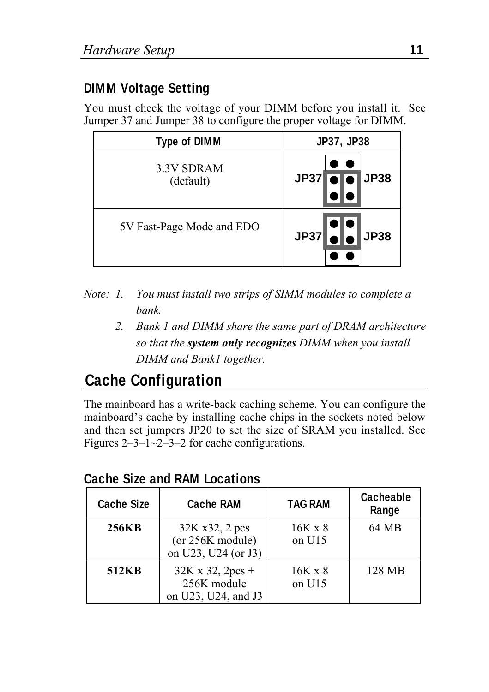#### **DIMM Voltage Setting**

You must check the voltage of your DIMM before you install it. See Jumper 37 and Jumper 38 to configure the proper voltage for DIMM.

| <b>Type of DIMM</b>       | <b>JP37, JP38</b>               |  |
|---------------------------|---------------------------------|--|
| 3.3V SDRAM<br>(default)   | <b>JP38</b><br>JP37             |  |
| 5V Fast-Page Mode and EDO | $JP37$ $\bullet$ $\bullet$ JP38 |  |

- *Note: 1. You must install two strips of SIMM modules to complete a bank.*
	- *2. Bank 1 and DIMM share the same part of DRAM architecture so that the system only recognizes DIMM when you install DIMM and Bank1 together.*

# **Cache Configuration**

The mainboard has a write-back caching scheme. You can configure the mainboard's cache by installing cache chips in the sockets noted below and then set jumpers JP20 to set the size of SRAM you installed. See Figures  $2-3-1-2-3-2$  for cache configurations.

| <b>Cache Size</b> | <b>Cache RAM</b>                                                 | <b>TAG RAM</b>             | Cacheable<br>Range |
|-------------------|------------------------------------------------------------------|----------------------------|--------------------|
| 256KB             | 32K x32, 2 pcs<br>(or 256K module)<br>on U23, U24 (or J3)        | $16K \times 8$<br>on $U15$ | 64 MB              |
| 512KB             | $32K \times 32$ , $2pcs +$<br>256K module<br>on U23, U24, and J3 | $16K \times 8$<br>on $U15$ | 128 MB             |

#### **Cache Size and RAM Locations**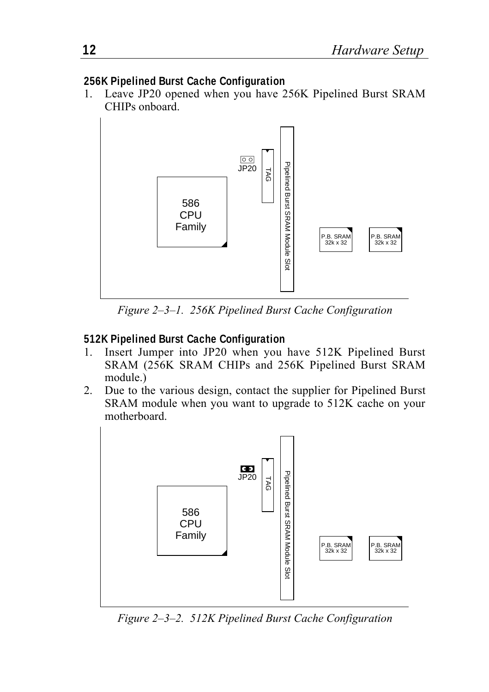#### **256K Pipelined Burst Cache Configuration**

1. Leave JP20 opened when you have 256K Pipelined Burst SRAM CHIPs onboard.



*Figure 2–3–1. 256K Pipelined Burst Cache Configuration*

#### **512K Pipelined Burst Cache Configuration**

- 1. Insert Jumper into JP20 when you have 512K Pipelined Burst SRAM (256K SRAM CHIPs and 256K Pipelined Burst SRAM module.)
- 2. Due to the various design, contact the supplier for Pipelined Burst SRAM module when you want to upgrade to 512K cache on your motherboard.



*Figure 2–3–2. 512K Pipelined Burst Cache Configuration*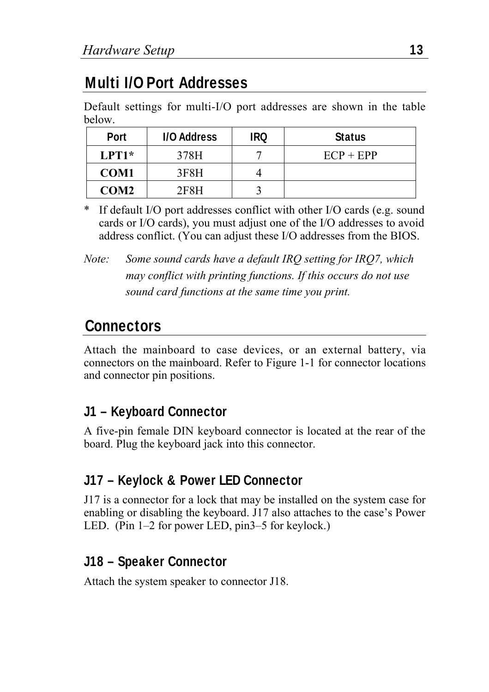# **Multi I/O Port Addresses**

Default settings for multi-I/O port addresses are shown in the table below.

| <b>Port</b>      | <b>I/O Address</b> | IRQ | <b>Status</b> |
|------------------|--------------------|-----|---------------|
| $LPT1*$          | 378H               |     | $ECP + EPP$   |
| <b>COM1</b>      | 3F8H               |     |               |
| COM <sub>2</sub> | 2F8H               |     |               |

\* If default I/O port addresses conflict with other I/O cards (e.g. sound cards or I/O cards), you must adjust one of the I/O addresses to avoid address conflict. (You can adjust these I/O addresses from the BIOS.

*Note: Some sound cards have a default IRQ setting for IRQ7, which may conflict with printing functions. If this occurs do not use sound card functions at the same time you print.*

#### **Connectors**

Attach the mainboard to case devices, or an external battery, via connectors on the mainboard. Refer to Figure 1-1 for connector locations and connector pin positions.

#### **J1 – Keyboard Connector**

A five-pin female DIN keyboard connector is located at the rear of the board. Plug the keyboard jack into this connector.

#### **J17 – Keylock & Power LED Connector**

J17 is a connector for a lock that may be installed on the system case for enabling or disabling the keyboard. J17 also attaches to the case's Power LED. (Pin 1–2 for power LED, pin3–5 for keylock.)

#### **J18 – Speaker Connector**

Attach the system speaker to connector J18.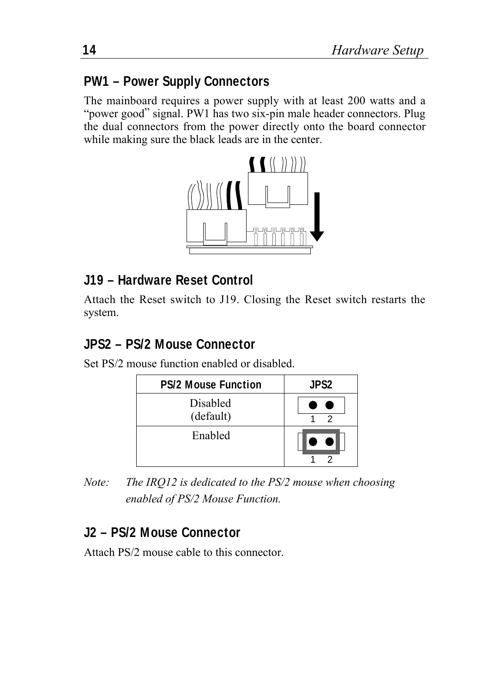#### **PW1 – Power Supply Connectors**

The mainboard requires a power supply with at least 200 watts and a "power good" signal. PW1 has two six-pin male header connectors. Plug the dual connectors from the power directly onto the board connector while making sure the black leads are in the center.



#### **J19 – Hardware Reset Control**

Attach the Reset switch to J19. Closing the Reset switch restarts the system.

#### **JPS2 – PS/2 Mouse Connector**

Set PS/2 mouse function enabled or disabled.

| <b>PS/2 Mouse Function</b> | <b>JPS2</b> |
|----------------------------|-------------|
| Disabled<br>(default)      |             |
| Enabled                    |             |

*Note: The IRQ12 is dedicated to the PS/2 mouse when choosing enabled of PS/2 Mouse Function.*

#### **J2 – PS/2 Mouse Connector**

Attach PS/2 mouse cable to this connector.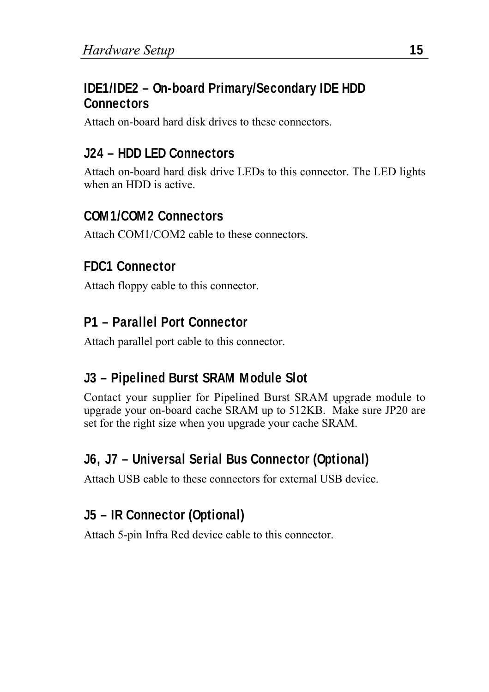#### **IDE1/IDE2 – On-board Primary/Secondary IDE HDD Connectors**

Attach on-board hard disk drives to these connectors.

#### **J24 – HDD LED Connectors**

Attach on-board hard disk drive LEDs to this connector. The LED lights when an HDD is active.

#### **COM1/COM2 Connectors**

Attach COM1/COM2 cable to these connectors.

#### **FDC1 Connector**

Attach floppy cable to this connector.

#### **P1 – Parallel Port Connector**

Attach parallel port cable to this connector.

#### **J3 – Pipelined Burst SRAM Module Slot**

Contact your supplier for Pipelined Burst SRAM upgrade module to upgrade your on-board cache SRAM up to 512KB. Make sure JP20 are set for the right size when you upgrade your cache SRAM.

## **J6, J7 – Universal Serial Bus Connector (Optional)**

Attach USB cable to these connectors for external USB device.

#### **J5 – IR Connector (Optional)**

Attach 5-pin Infra Red device cable to this connector.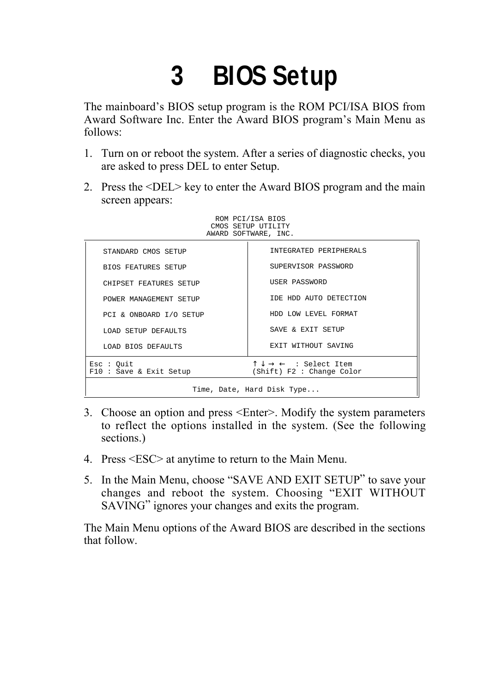# **3 BIOS Setup**

The mainboard's BIOS setup program is the ROM PCI/ISA BIOS from Award Software Inc. Enter the Award BIOS program's Main Menu as follows:

- 1. Turn on or reboot the system. After a series of diagnostic checks, you are asked to press DEL to enter Setup.
- 2. Press the <DEL> key to enter the Award BIOS program and the main screen appears:

ROM PCI/ISA BIOS CMOS SETUP UTILITY

|                                     | AWARD SOFTWARE, INC.                                                                    |  |
|-------------------------------------|-----------------------------------------------------------------------------------------|--|
| STANDARD CMOS SETUP                 | INTEGRATED PERIPHERALS                                                                  |  |
| <b>BIOS FEATURES SETUP</b>          | SUPERVISOR PASSWORD                                                                     |  |
| CHIPSET FEATURES SETUP              | USER PASSWORD                                                                           |  |
| POWER MANAGEMENT SETUP              | IDE HDD AUTO DETECTION                                                                  |  |
| PCI & ONBOARD I/O SETUP             | HDD LOW LEVEL FORMAT                                                                    |  |
| LOAD SETUP DEFAULTS                 | SAVE & EXIT SETUP                                                                       |  |
| LOAD BIOS DEFAULTS                  | EXIT WITHOUT SAVING                                                                     |  |
| Esc : Out<br>F10: Save & Exit Setup | $\uparrow \downarrow \rightarrow \leftarrow$ : Select Item<br>(Shift) F2 : Change Color |  |
| Time, Date, Hard Disk Type          |                                                                                         |  |

- 3. Choose an option and press <Enter>. Modify the system parameters to reflect the options installed in the system. (See the following sections.)
- 4. Press <ESC> at anytime to return to the Main Menu.
- 5. In the Main Menu, choose "SAVE AND EXIT SETUP" to save your changes and reboot the system. Choosing "EXIT WITHOUT SAVING" ignores your changes and exits the program.

The Main Menu options of the Award BIOS are described in the sections that follow.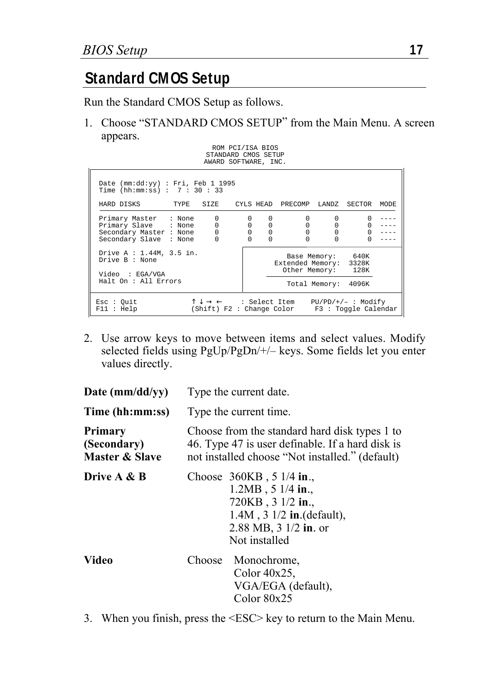## **Standard CMOS Setup**

Run the Standard CMOS Setup as follows.

1. Choose "STANDARD CMOS SETUP" from the Main Menu. A screen appears.

ROM PCI/ISA BIOS

| STANDARD CMOS SETUP<br>AWARD SOFTWARE, INC.                                                                                                                 |                                                                     |                                              |                                          |              |      |
|-------------------------------------------------------------------------------------------------------------------------------------------------------------|---------------------------------------------------------------------|----------------------------------------------|------------------------------------------|--------------|------|
| Date (mm:dd:yy) : Fri, Feb 1 1995<br>Time (hh:mm:ss) : $7:30:33$                                                                                            |                                                                     |                                              |                                          |              |      |
| HARD DISKS<br>TYPE<br>SIZE                                                                                                                                  |                                                                     | CYLS HEAD PRECOMP LANDZ SECTOR               |                                          |              | MODE |
| 0<br>Primary Master : None<br>$\begin{matrix} 0 \\ 0 \end{matrix}$<br>Primary Slave : None<br>Secondary Master : None<br>$\Omega$<br>Secondary Slave : None | 0<br>$\Omega$<br>0<br>0<br>$\mathbf 0$<br>0<br>$\Omega$<br>$\Omega$ | $\mathbf 0$<br>0<br>$\mathbf 0$              | $\Omega$<br>0<br>0                       | $\mathbf{0}$ |      |
| Drive A : 1.44M, 3.5 in.<br>Drive B : None<br>Video : EGA/VGA<br>Halt On : All Errors                                                                       |                                                                     | Extended Memory: 3328K<br>Other Memory: 128K | Base Memory: 640K<br>Total Memory: 4096K |              |      |
| $\uparrow \downarrow \rightarrow \leftarrow$ : Select Item PU/PD/+/- : Modify<br>Esc : Out<br>(Shift) F2: Change Color F3: Toggle Calendar<br>F11 : Help    |                                                                     |                                              |                                          |              |      |

2. Use arrow keys to move between items and select values. Modify selected fields using PgUp/PgDn/+/– keys. Some fields let you enter values directly.

| Date $(mm/dd/yy)$                        | Type the current date.                                                                                                                                                   |  |  |
|------------------------------------------|--------------------------------------------------------------------------------------------------------------------------------------------------------------------------|--|--|
| Time (hh:mm:ss)                          | Type the current time.                                                                                                                                                   |  |  |
| Primary<br>(Secondary)<br>Master & Slave | Choose from the standard hard disk types 1 to<br>46. Type 47 is user definable. If a hard disk is<br>not installed choose "Not installed." (default)                     |  |  |
| Drive A & B                              | Choose $360KB$ , 5 1/4 in.,<br>$1.2MB$ , 5 $1/4$ in.,<br>720KB, 3 1/2 in.,<br>$1.4M$ , $3 \frac{1}{2}$ in.(default),<br>2.88 MB, $3 \frac{1}{2}$ in. or<br>Not installed |  |  |
| Video                                    | Monochrome,<br>Choose<br>Color $40x25$ ,<br>VGA/EGA (default),<br>Color $80x25$                                                                                          |  |  |

3. When you finish, press the <ESC> key to return to the Main Menu.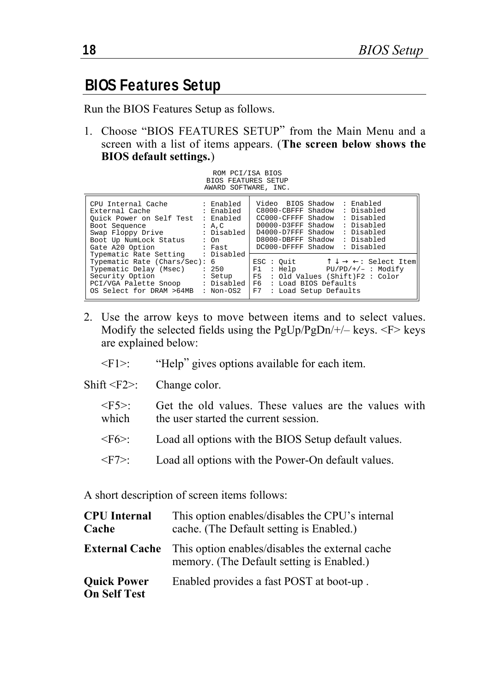#### **BIOS Features Setup**

Run the BIOS Features Setup as follows.

1. Choose "BIOS FEATURES SETUP" from the Main Menu and a screen with a list of items appears. (**The screen below shows the BIOS default settings.**)

| ROM PCI/ISA BIOS           |  |
|----------------------------|--|
| <b>BIOS FEATURES SETUP</b> |  |
| AWARD SOFTWARE, INC.       |  |

| CPU Internal Cache<br>External Cache<br>Ouick Power on Self Test<br>Boot Sequence<br>Swap Floppy Drive<br>Boot Up NumLock Status<br>Gate A20 Option<br>Typematic Rate Setting<br>Typematic Rate (Chars/Sec): 6<br>Typematic Delay (Msec) | : Enabled<br>: Enabled<br>: Enabled<br>: A.C<br>: Disabled<br>$: \Omega$<br>: Fast<br>: Disabled<br>: 250 | Video BIOS Shadow<br>: Enabled<br>: Disabled<br>C8000-CBFFF Shadow<br>CC000-CFFFF Shadow<br>: Disabled<br>D0000-D3FFF Shadow<br>: Disabled<br>D4000-D7FFF Shadow<br>: Disabled<br>: Disabled<br>D8000-DBFFF Shadow<br>DC000-DFFFF Shadow<br>: Disabled<br>$\uparrow \downarrow \rightarrow \leftarrow:$ Select Item<br>ESC: Ouit<br>: Help<br>$PU/PD/+/-$ : Modify<br>F1 |
|------------------------------------------------------------------------------------------------------------------------------------------------------------------------------------------------------------------------------------------|-----------------------------------------------------------------------------------------------------------|--------------------------------------------------------------------------------------------------------------------------------------------------------------------------------------------------------------------------------------------------------------------------------------------------------------------------------------------------------------------------|
| Security Option                                                                                                                                                                                                                          | : Setup                                                                                                   | F5 : Old Values (Shift)F2 : Color                                                                                                                                                                                                                                                                                                                                        |
| PCI/VGA Palette Snoop                                                                                                                                                                                                                    | : Disabled                                                                                                | F6 : Load BIOS Defaults                                                                                                                                                                                                                                                                                                                                                  |
| OS Select for DRAM >64MB                                                                                                                                                                                                                 | $: Non-OS2$                                                                                               | F7<br>: Load Setup Defaults                                                                                                                                                                                                                                                                                                                                              |

- 2. Use the arrow keys to move between items and to select values. Modify the selected fields using the  $PgUp/PgDn/+/ - \text{keys.} < F > \text{keys}$ are explained below:
	- <F1>: "Help" gives options available for each item.
- Shift <F2>: Change color.
	- $\langle$ F5>: Get the old values. These values are the values with which the user started the current session the user started the current session.
	- <F6>: Load all options with the BIOS Setup default values.
	- <F7>: Load all options with the Power-On default values.

A short description of screen items follows:

| <b>CPU</b> Internal<br>Cache              | This option enables/disables the CPU's internal<br>cache. (The Default setting is Enabled.)  |
|-------------------------------------------|----------------------------------------------------------------------------------------------|
| <b>External Cache</b>                     | This option enables/disables the external cache<br>memory. (The Default setting is Enabled.) |
| <b>Ouick Power</b><br><b>On Self Test</b> | Enabled provides a fast POST at boot-up.                                                     |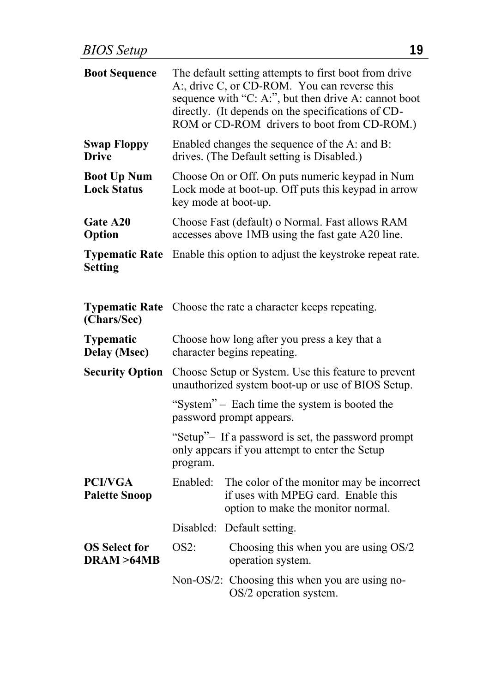| <b>Boot Sequence</b>                     |                                                                                                                                | The default setting attempts to first boot from drive<br>A:, drive C, or CD-ROM. You can reverse this<br>sequence with "C: A:", but then drive A: cannot boot<br>directly. (It depends on the specifications of CD-<br>ROM or CD-ROM drivers to boot from CD-ROM.) |  |
|------------------------------------------|--------------------------------------------------------------------------------------------------------------------------------|--------------------------------------------------------------------------------------------------------------------------------------------------------------------------------------------------------------------------------------------------------------------|--|
| <b>Swap Floppy</b><br><b>Drive</b>       | Enabled changes the sequence of the A: and B:<br>drives. (The Default setting is Disabled.)                                    |                                                                                                                                                                                                                                                                    |  |
| <b>Boot Up Num</b><br><b>Lock Status</b> | Choose On or Off. On puts numeric keypad in Num<br>Lock mode at boot-up. Off puts this keypad in arrow<br>key mode at boot-up. |                                                                                                                                                                                                                                                                    |  |
| Gate A20<br>Option                       | Choose Fast (default) o Normal. Fast allows RAM<br>accesses above 1MB using the fast gate A20 line.                            |                                                                                                                                                                                                                                                                    |  |
| <b>Typematic Rate</b><br><b>Setting</b>  |                                                                                                                                | Enable this option to adjust the keystroke repeat rate.                                                                                                                                                                                                            |  |
| <b>Typematic Rate</b><br>(Chars/Sec)     |                                                                                                                                | Choose the rate a character keeps repeating.                                                                                                                                                                                                                       |  |
| <b>Typematic</b><br>Delay (Msec)         | Choose how long after you press a key that a<br>character begins repeating.                                                    |                                                                                                                                                                                                                                                                    |  |
| <b>Security Option</b>                   | Choose Setup or System. Use this feature to prevent<br>unauthorized system boot-up or use of BIOS Setup.                       |                                                                                                                                                                                                                                                                    |  |
|                                          |                                                                                                                                | "System" – Each time the system is booted the<br>password prompt appears.                                                                                                                                                                                          |  |
|                                          | program.                                                                                                                       | "Setup"- If a password is set, the password prompt<br>only appears if you attempt to enter the Setup                                                                                                                                                               |  |
| <b>PCI/VGA</b><br><b>Palette Snoop</b>   | Enabled:                                                                                                                       | The color of the monitor may be incorrect<br>if uses with MPEG card. Enable this<br>option to make the monitor normal.                                                                                                                                             |  |
|                                          |                                                                                                                                | Disabled: Default setting.                                                                                                                                                                                                                                         |  |
| <b>OS Select for</b><br>DRAM >64MB       | $OS2$ :                                                                                                                        | Choosing this when you are using OS/2<br>operation system.                                                                                                                                                                                                         |  |
|                                          |                                                                                                                                | Non-OS/2: Choosing this when you are using no-<br>OS/2 operation system.                                                                                                                                                                                           |  |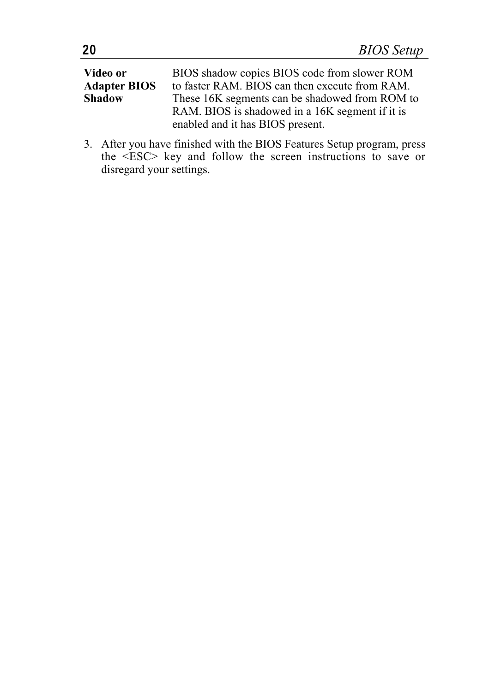| Video or            | BIOS shadow copies BIOS code from slower ROM    |
|---------------------|-------------------------------------------------|
| <b>Adapter BIOS</b> | to faster RAM. BIOS can then execute from RAM.  |
| <b>Shadow</b>       | These 16K segments can be shadowed from ROM to  |
|                     | RAM. BIOS is shadowed in a 16K segment if it is |
|                     | enabled and it has BIOS present.                |

3. After you have finished with the BIOS Features Setup program, press the <ESC> key and follow the screen instructions to save or disregard your settings.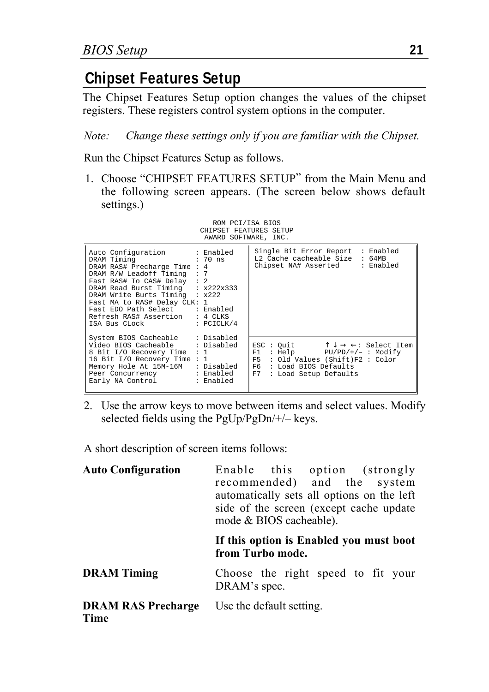## **Chipset Features Setup**

The Chipset Features Setup option changes the values of the chipset registers. These registers control system options in the computer.

*Note: Change these settings only if you are familiar with the Chipset.*

Run the Chipset Features Setup as follows.

1. Choose "CHIPSET FEATURES SETUP" from the Main Menu and the following screen appears. (The screen below shows default settings.)



| Auto Configuration : Enabled<br>DRAM Timing 30 : 70 ns<br>DRAM RAS# Precharge Time : 4<br>DRAM R/W Leadoff Timing : 7<br>  Fast RAS# To CAS# Delay : 2<br>DRAM Read Burst Timing : x222x333<br>DRAM Write Burts Timing : x222<br>Fast MA to RAS# Delay CLK: 1<br>Fast EDO Path Select : Enabled<br>Refresh RAS# Assertion : 4 CLKS<br>$TSA$ Bus CLock : PCICLK/4 | Single Bit Error Report : Enabled<br>L2 Cache cacheable Size : 64MB<br>Chipset NA# Asserted : Enabled                                                                                                     |
|------------------------------------------------------------------------------------------------------------------------------------------------------------------------------------------------------------------------------------------------------------------------------------------------------------------------------------------------------------------|-----------------------------------------------------------------------------------------------------------------------------------------------------------------------------------------------------------|
| System BIOS Cacheable : Disabled<br>Video BIOS Cacheable : Disabled<br>8 Bit I/O Recovery Time : 1<br>16 Bit I/O Recovery Time: 1<br>  Memorv Hole At 15M-16M   : Disabled   <br>Peer Concurrency : Enabled<br>Early NA Control : Enabled                                                                                                                        | ESC: Quit $\uparrow \downarrow \rightarrow \leftarrow$ : Select Item<br>: Help PU/PD/+/- : Modify<br>F1<br>$ F5 $ : Old Values (Shift)F2: Color<br>F6 : Load BIOS Defaults<br>F7<br>: Load Setup Defaults |

2. Use the arrow keys to move between items and select values. Modify selected fields using the PgUp/PgDn/+/– keys.

A short description of screen items follows:

| <b>Auto Configuration</b>         | Enable this option (strongly<br>recommended) and the system<br>automatically sets all options on the left<br>side of the screen (except cache update)<br>mode & BIOS cacheable). |
|-----------------------------------|----------------------------------------------------------------------------------------------------------------------------------------------------------------------------------|
|                                   | If this option is Enabled you must boot<br>from Turbo mode.                                                                                                                      |
| <b>DRAM</b> Timing                | Choose the right speed to fit your<br>DRAM's spec.                                                                                                                               |
| <b>DRAM RAS Precharge</b><br>Time | Use the default setting.                                                                                                                                                         |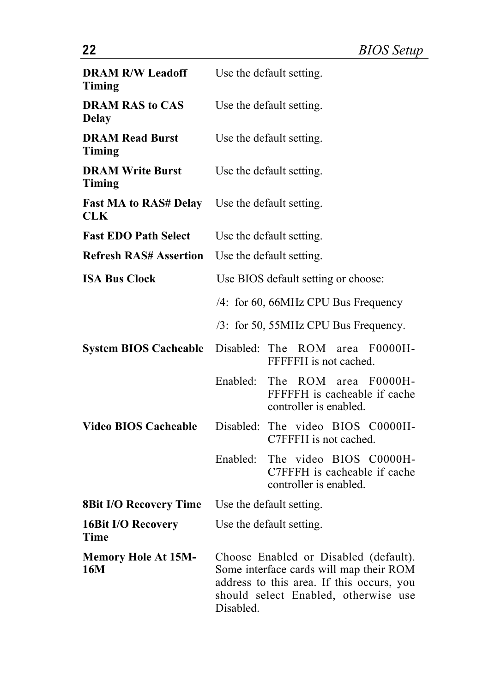| <b>DRAM R/W Leadoff</b><br>Timing      | Use the default setting.                                                                                                                                                           |                                                                                        |  |
|----------------------------------------|------------------------------------------------------------------------------------------------------------------------------------------------------------------------------------|----------------------------------------------------------------------------------------|--|
| <b>DRAM RAS to CAS</b><br><b>Delay</b> | Use the default setting.                                                                                                                                                           |                                                                                        |  |
| <b>DRAM Read Burst</b><br>Timing       | Use the default setting.                                                                                                                                                           |                                                                                        |  |
| <b>DRAM Write Burst</b><br>Timing      | Use the default setting.                                                                                                                                                           |                                                                                        |  |
| <b>Fast MA to RAS# Delay</b><br>CLK    | Use the default setting.                                                                                                                                                           |                                                                                        |  |
| <b>Fast EDO Path Select</b>            | Use the default setting.                                                                                                                                                           |                                                                                        |  |
| <b>Refresh RAS# Assertion</b>          | Use the default setting.                                                                                                                                                           |                                                                                        |  |
| <b>ISA Bus Clock</b>                   | Use BIOS default setting or choose:                                                                                                                                                |                                                                                        |  |
|                                        |                                                                                                                                                                                    | /4: for 60, 66MHz CPU Bus Frequency                                                    |  |
|                                        |                                                                                                                                                                                    | /3: for 50, 55MHz CPU Bus Frequency.                                                   |  |
| <b>System BIOS Cacheable</b>           | Disabled: The                                                                                                                                                                      | ROM area F0000H-<br>FFFFFH is not cached.                                              |  |
|                                        | Enabled:                                                                                                                                                                           | The ROM<br>$area$ $F0000H -$<br>FFFFFH is cacheable if cache<br>controller is enabled. |  |
| <b>Video BIOS Cacheable</b>            | Disabled:                                                                                                                                                                          | The video BIOS C0000H-<br>C7FFFH is not cached.                                        |  |
|                                        | Enabled:                                                                                                                                                                           | The video BIOS C0000H-<br>C7FFFH is cacheable if cache<br>controller is enabled.       |  |
| <b>8Bit I/O Recovery Time</b>          |                                                                                                                                                                                    | Use the default setting.                                                               |  |
| 16Bit I/O Recovery<br>Time             | Use the default setting.                                                                                                                                                           |                                                                                        |  |
| <b>Memory Hole At 15M-</b><br>16M      | Choose Enabled or Disabled (default).<br>Some interface cards will map their ROM<br>address to this area. If this occurs, you<br>should select Enabled, otherwise use<br>Disabled. |                                                                                        |  |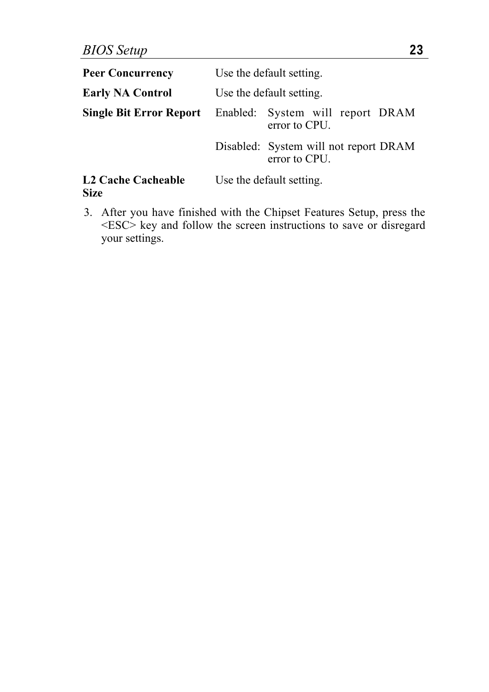| <b>Peer Concurrency</b>                  | Use the default setting. |                                                                                  |
|------------------------------------------|--------------------------|----------------------------------------------------------------------------------|
| <b>Early NA Control</b>                  | Use the default setting. |                                                                                  |
|                                          |                          | <b>Single Bit Error Report</b> Enabled: System will report DRAM<br>error to CPU. |
|                                          |                          | Disabled: System will not report DRAM<br>error to CPU.                           |
| <b>L2 Cache Cacheable</b><br><b>Size</b> |                          | Use the default setting.                                                         |

3. After you have finished with the Chipset Features Setup, press the <ESC> key and follow the screen instructions to save or disregard your settings.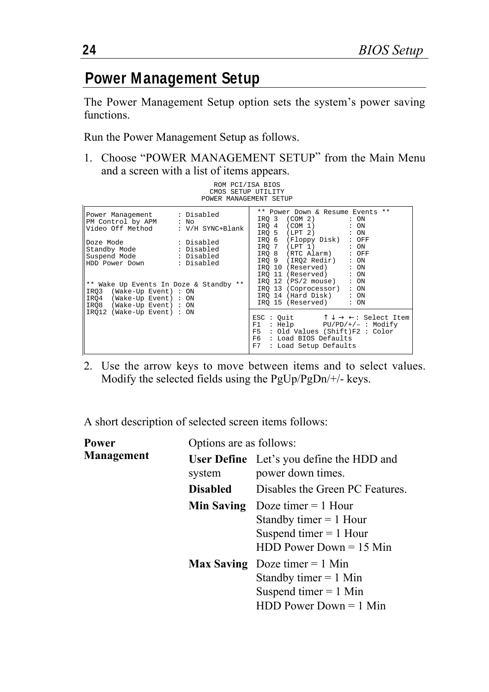#### **Power Management Setup**

The Power Management Setup option sets the system's power saving functions.

Run the Power Management Setup as follows.

1. Choose "POWER MANAGEMENT SETUP" from the Main Menu and a screen with a list of items appears.

ROM PCI/ISA BIOS

|                                                                                                                                                                                                                                                                                                                                        | CMOS SETUP UTILITY<br>POWER MANAGEMENT SETUP                                                                                                                                                                                                                                                                                                                                                 |
|----------------------------------------------------------------------------------------------------------------------------------------------------------------------------------------------------------------------------------------------------------------------------------------------------------------------------------------|----------------------------------------------------------------------------------------------------------------------------------------------------------------------------------------------------------------------------------------------------------------------------------------------------------------------------------------------------------------------------------------------|
| Power Management : Disabled<br>PM Control by APM : No<br>Video Off Method : V/H SYNC+Blank<br>Doze Mode : Disabled<br>Standby Mode : Disabled<br>Suspend Mode : Disabled<br>HDD Power Down : Disabled<br>** Wake Up Events In Doze & Standby **<br>IRO3 (Wake-Up Event) : ON<br>IRQ4 (Wake-Up Event) : ON<br>IRO8 (Wake-Up Event) : ON | ** Power Down & Resume Events **<br>IRO 3 (COM 2)<br>$: \circledcirc$<br>IRO 4 (COM 1) : ON<br>IRO 5 (LPT 2) : ON<br>IRO 6 (Floppy Disk) : OFF<br>IRO 7 (LPT 1) : ON<br>IRO 8 (RTC Alarm) : OFF<br>IRO 9 (IRO2 Redir) : ON<br>IRO 10 (Reserved) : ON<br>IRO 11 (Reserved) : ON<br>IRO 12 (PS/2 mouse) : ON<br>IRO 13 (Coprocessor) : ON<br>IRO 14 (Hard Disk) : ON<br>IRO 15 (Reserved) : ON |
| IRO12 (Wake-Up Event) : ON                                                                                                                                                                                                                                                                                                             | ESC : Quit $\uparrow \downarrow \rightarrow \leftarrow$ : Select Item<br>: Help PU/PD/+/- : Modify<br>F1<br>F5 : Old Values (Shift)F2 : Color<br>F6 : Load BIOS Defaults<br>F7<br>: Load Setup Defaults                                                                                                                                                                                      |

2. Use the arrow keys to move between items and to select values. Modify the selected fields using the PgUp/PgDn/+/- keys.

A short description of selected screen items follows:

| Power             | Options are as follows: |                                                                                                                          |  |
|-------------------|-------------------------|--------------------------------------------------------------------------------------------------------------------------|--|
| <b>Management</b> | system                  | <b>User Define</b> Let's you define the HDD and<br>power down times.                                                     |  |
|                   | <b>Disabled</b>         | Disables the Green PC Features.                                                                                          |  |
|                   | Min Saving              | Doze timer $= 1$ Hour<br>Standby timer $= 1$ Hour<br>Suspend timer $= 1$ Hour<br>$HDD Power Down = 15 Min$               |  |
|                   |                         | <b>Max Saving</b> Doze timer $= 1$ Min<br>Standby timer $= 1$ Min<br>Suspend timer $= 1$ Min<br>$HDD$ Power Down = 1 Min |  |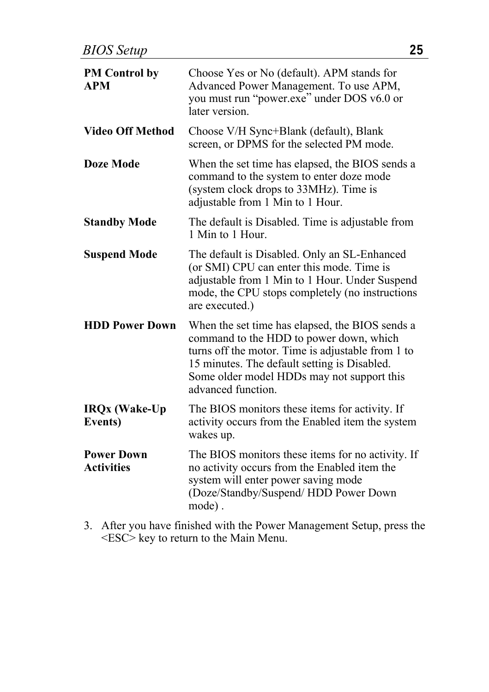| <b>PM</b> Control by<br><b>APM</b>     | Choose Yes or No (default). APM stands for<br>Advanced Power Management. To use APM,<br>you must run "power.exe" under DOS v6.0 or<br>later version.                                                                                                                |
|----------------------------------------|---------------------------------------------------------------------------------------------------------------------------------------------------------------------------------------------------------------------------------------------------------------------|
| <b>Video Off Method</b>                | Choose V/H Sync+Blank (default), Blank<br>screen, or DPMS for the selected PM mode.                                                                                                                                                                                 |
| Doze Mode                              | When the set time has elapsed, the BIOS sends a<br>command to the system to enter doze mode<br>(system clock drops to 33MHz). Time is<br>adjustable from 1 Min to 1 Hour.                                                                                           |
| <b>Standby Mode</b>                    | The default is Disabled. Time is adjustable from<br>1 Min to 1 Hour                                                                                                                                                                                                 |
| <b>Suspend Mode</b>                    | The default is Disabled. Only an SL-Enhanced<br>(or SMI) CPU can enter this mode. Time is<br>adjustable from 1 Min to 1 Hour. Under Suspend<br>mode, the CPU stops completely (no instructions<br>are executed.)                                                    |
| <b>HDD Power Down</b>                  | When the set time has elapsed, the BIOS sends a<br>command to the HDD to power down, which<br>turns off the motor. Time is adjustable from 1 to<br>15 minutes. The default setting is Disabled.<br>Some older model HDDs may not support this<br>advanced function. |
| <b>IRQx</b> (Wake-Up<br>Events)        | The BIOS monitors these items for activity. If<br>activity occurs from the Enabled item the system<br>wakes up.                                                                                                                                                     |
| <b>Power Down</b><br><b>Activities</b> | The BIOS monitors these items for no activity. If<br>no activity occurs from the Enabled item the<br>system will enter power saving mode<br>(Doze/Standby/Suspend/HDD Power Down<br>mode).                                                                          |
|                                        |                                                                                                                                                                                                                                                                     |

3. After you have finished with the Power Management Setup, press the <ESC> key to return to the Main Menu.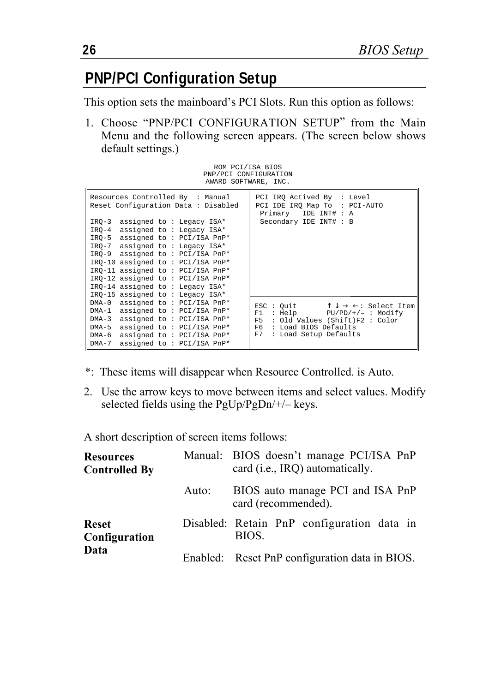## **PNP/PCI Configuration Setup**

This option sets the mainboard's PCI Slots. Run this option as follows:

1. Choose "PNP/PCI CONFIGURATION SETUP" from the Main Menu and the following screen appears. (The screen below shows default settings.)

ROM PCI/ISA BIOS PNP/PCI CONFIGURATION AWARD SOFTWARE, INC.

| Resources Controlled By : Manual<br>Reset Configuration Data : Disabled                                                                                                                                                                                                                                                                                    | PCI IRO Actived By : Level<br>PCI IDE IRO Map To : PCI-AUTO<br>Primary IDE INT# : A                                                                                                                                          |
|------------------------------------------------------------------------------------------------------------------------------------------------------------------------------------------------------------------------------------------------------------------------------------------------------------------------------------------------------------|------------------------------------------------------------------------------------------------------------------------------------------------------------------------------------------------------------------------------|
| IRO-3 assigned to: Legacy ISA*<br>IRO-4 assigned to: Legacy ISA*<br>IRO-5 assigned to: PCI/ISA PnP*<br>IRO-7 assigned to: Legacy ISA*<br>IRO-9 assigned to: PCI/ISA PnP*<br>IRO-10 assigned to: PCI/ISA PnP*<br>IRO-11 assigned to: PCI/ISA PnP*<br>IRQ-12 assigned to: PCI/ISA PnP*<br>IRO-14 assigned to: Legacy ISA*<br>IRO-15 assigned to: Legacy ISA* | Secondary IDE INT# : B                                                                                                                                                                                                       |
| DMA-0 assigned to: PCI/ISA PnP*<br>DMA-1 assigned to: PCI/ISA PnP*<br>DMA-3 assigned to: PCI/ISA PnP*<br>assigned to: PCI/ISA PnP*<br>$DMA-5$<br>assigned to: PCI/ISA PnP*<br>$DMA-6$<br>DMA-7 assigned to: PCI/ISA PnP*                                                                                                                                   | ESC: Quit $\uparrow \downarrow \rightarrow \leftarrow$ : Select Item<br>$: Help$ $PU/PD/+/ : Modify$<br>F1<br>: Old Values (Shift)F2 : Color<br>F <sub>5</sub><br>F6.<br>: Load BIOS Defaults<br>F7<br>: Load Setup Defaults |

- \*: These items will disappear when Resource Controlled. is Auto.
- 2. Use the arrow keys to move between items and select values. Modify selected fields using the PgUp/PgDn/+/– keys.

A short description of screen items follows:

| <b>Resources</b><br><b>Controlled By</b> |       | Manual: BIOS doesn't manage PCI/ISA PnP<br>card (i.e., IRQ) automatically. |  |  |  |  |
|------------------------------------------|-------|----------------------------------------------------------------------------|--|--|--|--|
| <b>Reset</b><br>Configuration<br>Data    | Auto: | BIOS auto manage PCI and ISA PnP<br>card (recommended).                    |  |  |  |  |
|                                          |       | Disabled: Retain PnP configuration data in<br>BIOS.                        |  |  |  |  |
|                                          |       | Enabled: Reset PnP configuration data in BIOS.                             |  |  |  |  |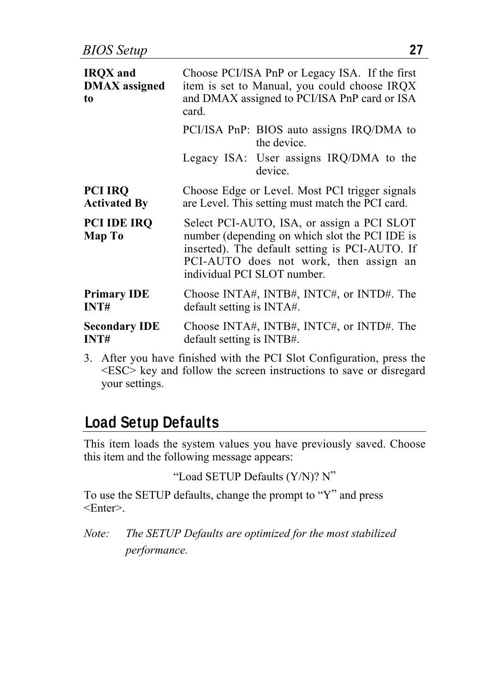| <b>IRQX</b> and<br><b>DMAX</b> assigned<br>to | Choose PCI/ISA PnP or Legacy ISA. If the first<br>item is set to Manual, you could choose IRQX<br>and DMAX assigned to PCI/ISA PnP card or ISA<br>card.                                                                 |                                                          |  |  |  |
|-----------------------------------------------|-------------------------------------------------------------------------------------------------------------------------------------------------------------------------------------------------------------------------|----------------------------------------------------------|--|--|--|
|                                               |                                                                                                                                                                                                                         | PCI/ISA PnP: BIOS auto assigns IRQ/DMA to<br>the device. |  |  |  |
|                                               |                                                                                                                                                                                                                         | Legacy ISA: User assigns IRQ/DMA to the<br>device.       |  |  |  |
| <b>PCI IRQ</b><br><b>Activated By</b>         | Choose Edge or Level. Most PCI trigger signals<br>are Level. This setting must match the PCI card.                                                                                                                      |                                                          |  |  |  |
| <b>PCI IDE IRQ</b><br>Map To                  | Select PCI-AUTO, ISA, or assign a PCI SLOT<br>number (depending on which slot the PCI IDE is<br>inserted). The default setting is PCI-AUTO. If<br>PCI-AUTO does not work, then assign an<br>individual PCI SLOT number. |                                                          |  |  |  |
| <b>Primary IDE</b><br>INT#                    | default setting is INTA#.                                                                                                                                                                                               | Choose INTA#, INTB#, INTC#, or INTD#. The                |  |  |  |
| <b>Secondary IDE</b><br>INT#                  | default setting is INTB#.                                                                                                                                                                                               | Choose INTA#, INTB#, INTC#, or INTD#. The                |  |  |  |

3. After you have finished with the PCI Slot Configuration, press the  $\leq$ ESC $>$  key and follow the screen instructions to save or disregard your settings.

#### **Load Setup Defaults**

This item loads the system values you have previously saved. Choose this item and the following message appears:

```
"Load SETUP Defaults (Y/N)? N"
```
To use the SETUP defaults, change the prompt to "Y" and press  $<$ Enter $>$ 

*Note: The SETUP Defaults are optimized for the most stabilized performance.*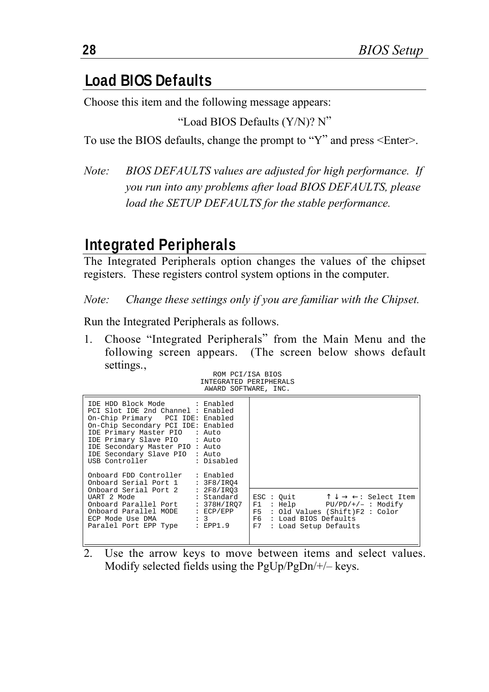#### **Load BIOS Defaults**

Choose this item and the following message appears:

```
"Load BIOS Defaults (Y/N)? N"
```
To use the BIOS defaults, change the prompt to "Y" and press <Enter>.

*Note: BIOS DEFAULTS values are adjusted for high performance. If you run into any problems after load BIOS DEFAULTS, please load the SETUP DEFAULTS for the stable performance.*

#### **Integrated Peripherals**

The Integrated Peripherals option changes the values of the chipset registers. These registers control system options in the computer.

*Note: Change these settings only if you are familiar with the Chipset.*

Run the Integrated Peripherals as follows.

1. Choose "Integrated Peripherals" from the Main Menu and the following screen appears. (The screen below shows default settings..

| ROM PCI/ISA BIOS       |  |  |
|------------------------|--|--|
| INTEGRATED PERIPHERALS |  |  |
| AWARD SOFTWARE, INC.   |  |  |

| IDE HDD Block Mode : Enabled<br>PCI Slot IDE 2nd Channel : Enabled<br>On-Chip Primary PCI IDE: Enabled<br>On-Chip Secondary PCI IDE: Enabled<br>IDE Primary Master PIO : Auto<br>IDE Primary Slave PIO : Auto<br>IDE Secondary Master PIO : Auto<br>IDE Secondary Slave PIO : Auto<br>USB Controller : Disabled |           |                                                                                                                                                                                                      |
|-----------------------------------------------------------------------------------------------------------------------------------------------------------------------------------------------------------------------------------------------------------------------------------------------------------------|-----------|------------------------------------------------------------------------------------------------------------------------------------------------------------------------------------------------------|
| Onboard FDD Controller<br>Onboard Serial Port 1 : 3F8/IR04<br>Onboard Serial Port 2 : 2F8/IRO3<br>UART 2 Mode : Standard<br>Onboard Parallel Port : 378H/IRO7<br>Onboard Parallel MODE : ECP/EPP<br>ECP Mode Use DMA : 3<br>Paralel Port EPP Type : EPP1.9                                                      | : Enabled | ESC: Quit $\uparrow \downarrow \rightarrow \leftarrow$ : Select Item<br>$F1 : Help$ $PU/PD/+/- : Modify$<br>F5 : Old Values (Shift)F2 : Color<br>F6 : Load BIOS Defaults<br>F7 : Load Setup Defaults |

2. Use the arrow keys to move between items and select values. Modify selected fields using the PgUp/PgDn/+/– keys.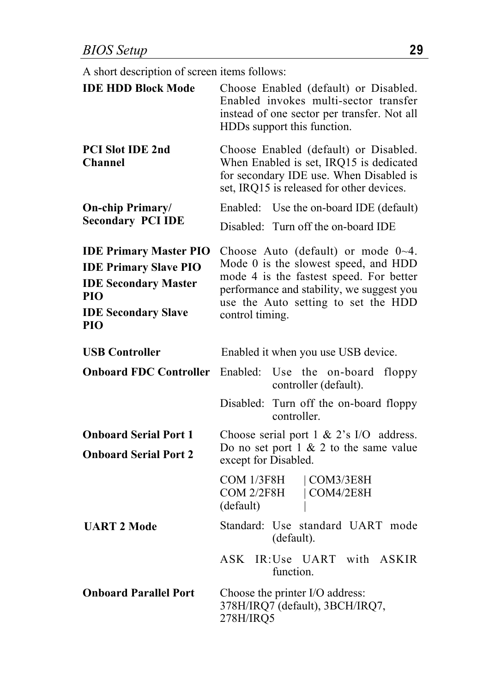A short description of screen items follows:

| <b>IDE HDD Block Mode</b>                                                                                                                       | Choose Enabled (default) or Disabled.<br>Enabled invokes multi-sector transfer<br>instead of one sector per transfer. Not all<br>HDDs support this function.                                                                        |  |  |  |  |  |
|-------------------------------------------------------------------------------------------------------------------------------------------------|-------------------------------------------------------------------------------------------------------------------------------------------------------------------------------------------------------------------------------------|--|--|--|--|--|
| PCI Slot IDE 2nd<br><b>Channel</b>                                                                                                              | Choose Enabled (default) or Disabled.<br>When Enabled is set, IRQ15 is dedicated<br>for secondary IDE use. When Disabled is<br>set, IRQ15 is released for other devices.                                                            |  |  |  |  |  |
| <b>On-chip Primary/</b>                                                                                                                         | Enabled: Use the on-board IDE (default)                                                                                                                                                                                             |  |  |  |  |  |
| <b>Secondary PCI IDE</b>                                                                                                                        | Disabled: Turn off the on-board IDE                                                                                                                                                                                                 |  |  |  |  |  |
| <b>IDE Primary Master PIO</b><br><b>IDE Primary Slave PIO</b><br><b>IDE Secondary Master</b><br>PIO<br><b>IDE Secondary Slave</b><br><b>PIO</b> | Choose Auto (default) or mode $0\neg 4$ .<br>Mode 0 is the slowest speed, and HDD<br>mode 4 is the fastest speed. For better<br>performance and stability, we suggest you<br>use the Auto setting to set the HDD<br>control timing. |  |  |  |  |  |
| <b>USB Controller</b>                                                                                                                           | Enabled it when you use USB device.                                                                                                                                                                                                 |  |  |  |  |  |
| <b>Onboard FDC Controller</b>                                                                                                                   | Enabled:<br>Use the on-board<br>floppy<br>controller (default).                                                                                                                                                                     |  |  |  |  |  |
|                                                                                                                                                 | Disabled:<br>Turn off the on-board floppy<br>controller.                                                                                                                                                                            |  |  |  |  |  |
| <b>Onboard Serial Port 1</b><br><b>Onboard Serial Port 2</b>                                                                                    | Choose serial port 1 & 2's I/O address.<br>Do no set port $1 \& 2$ to the same value<br>except for Disabled.                                                                                                                        |  |  |  |  |  |
|                                                                                                                                                 | COM 1/3F8H<br> COM3/3EBH<br>COM 2/2F8H<br>  COM4/2EBH<br>(default)                                                                                                                                                                  |  |  |  |  |  |
| <b>UART 2 Mode</b>                                                                                                                              | Standard: Use standard UART mode<br>(default).                                                                                                                                                                                      |  |  |  |  |  |
|                                                                                                                                                 | ASK<br>IR:Use UART with<br><b>ASKIR</b><br>function.                                                                                                                                                                                |  |  |  |  |  |
| <b>Onboard Parallel Port</b>                                                                                                                    | Choose the printer I/O address:<br>378H/IRQ7 (default), 3BCH/IRQ7,<br>278H/IRQ5                                                                                                                                                     |  |  |  |  |  |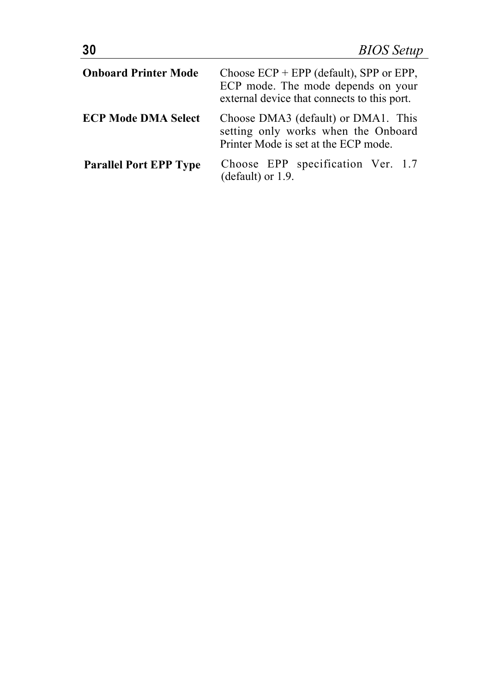| <b>Onboard Printer Mode</b>   | Choose $ECP + EPP$ (default), SPP or EPP,<br>ECP mode. The mode depends on your<br>external device that connects to this port. |  |  |  |  |
|-------------------------------|--------------------------------------------------------------------------------------------------------------------------------|--|--|--|--|
| <b>ECP Mode DMA Select</b>    | Choose DMA3 (default) or DMA1. This<br>setting only works when the Onboard<br>Printer Mode is set at the ECP mode.             |  |  |  |  |
| <b>Parallel Port EPP Type</b> | Choose EPP specification Ver. 1.7<br>(default) or 1.9.                                                                         |  |  |  |  |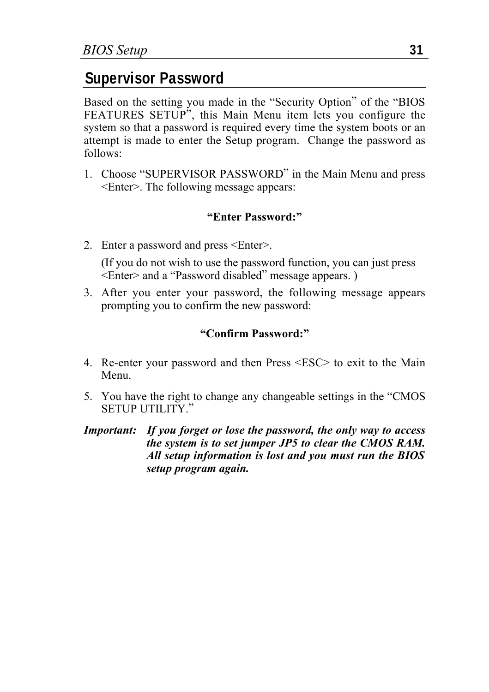#### **Supervisor Password**

Based on the setting you made in the "Security Option" of the "BIOS FEATURES SETUP", this Main Menu item lets you configure the system so that a password is required every time the system boots or an attempt is made to enter the Setup program. Change the password as follows:

1. Choose "SUPERVISOR PASSWORD" in the Main Menu and press <Enter>. The following message appears:

#### **"Enter Password:"**

- 2. Enter a password and press <Enter>. (If you do not wish to use the password function, you can just press <Enter> and a "Password disabled" message appears. )
- 3. After you enter your password, the following message appears prompting you to confirm the new password:

#### **"Confirm Password:"**

- 4. Re-enter your password and then Press <ESC> to exit to the Main Menu.
- 5. You have the right to change any changeable settings in the "CMOS SETUP UTILITY"
- *Important: If you forget or lose the password, the only way to access the system is to set jumper JP5 to clear the CMOS RAM. All setup information is lost and you must run the BIOS setup program again.*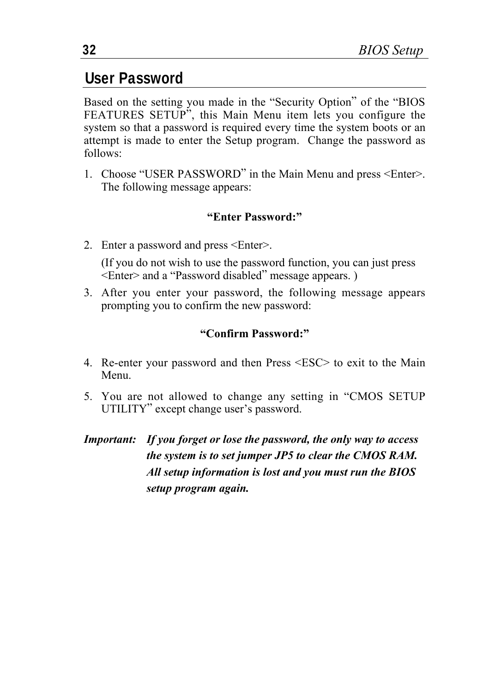#### **User Password**

Based on the setting you made in the "Security Option" of the "BIOS FEATURES SETUP", this Main Menu item lets you configure the system so that a password is required every time the system boots or an attempt is made to enter the Setup program. Change the password as follows:

1. Choose "USER PASSWORD" in the Main Menu and press <Enter>. The following message appears:

#### **"Enter Password:"**

- 2. Enter a password and press <Enter>. (If you do not wish to use the password function, you can just press <Enter> and a "Password disabled" message appears. )
- 3. After you enter your password, the following message appears prompting you to confirm the new password:

#### **"Confirm Password:"**

- 4. Re-enter your password and then Press <ESC> to exit to the Main Menu.
- 5. You are not allowed to change any setting in "CMOS SETUP UTILITY" except change user's password.
- *Important: If you forget or lose the password, the only way to access the system is to set jumper JP5 to clear the CMOS RAM. All setup information is lost and you must run the BIOS setup program again.*